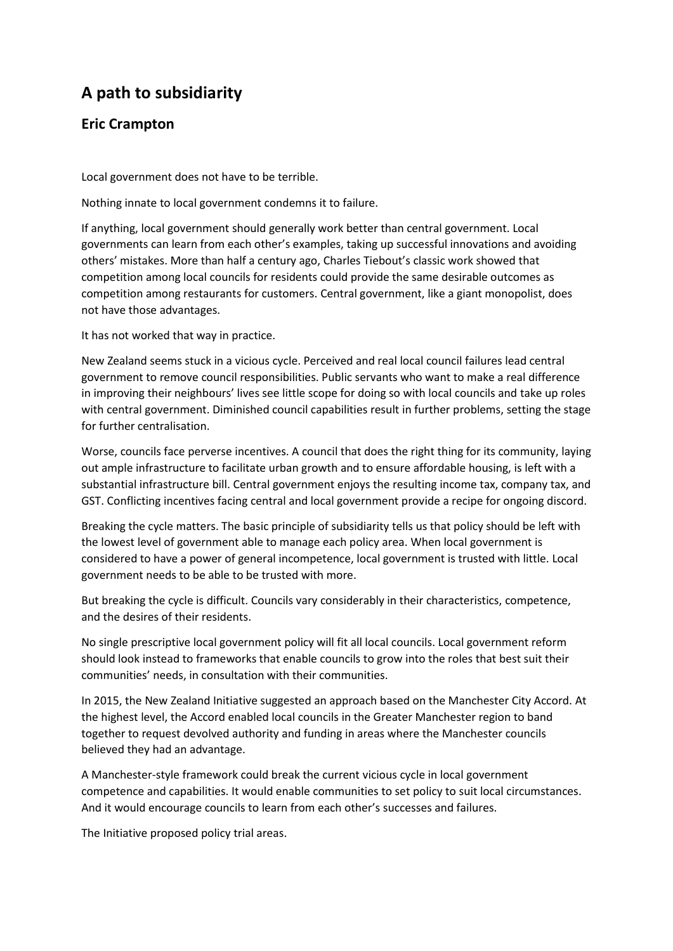## **A path to subsidiarity**

## **Eric Crampton**

Local government does not have to be terrible.

Nothing innate to local government condemns it to failure.

If anything, local government should generally work better than central government. Local governments can learn from each other's examples, taking up successful innovations and avoiding others' mistakes. More than half a century ago, Charles Tiebout's classic work showed that competition among local councils for residents could provide the same desirable outcomes as competition among restaurants for customers. Central government, like a giant monopolist, does not have those advantages.

It has not worked that way in practice.

New Zealand seems stuck in a vicious cycle. Perceived and real local council failures lead central government to remove council responsibilities. Public servants who want to make a real difference in improving their neighbours' lives see little scope for doing so with local councils and take up roles with central government. Diminished council capabilities result in further problems, setting the stage for further centralisation.

Worse, councils face perverse incentives. A council that does the right thing for its community, laying out ample infrastructure to facilitate urban growth and to ensure affordable housing, is left with a substantial infrastructure bill. Central government enjoys the resulting income tax, company tax, and GST. Conflicting incentives facing central and local government provide a recipe for ongoing discord.

Breaking the cycle matters. The basic principle of subsidiarity tells us that policy should be left with the lowest level of government able to manage each policy area. When local government is considered to have a power of general incompetence, local government is trusted with little. Local government needs to be able to be trusted with more.

But breaking the cycle is difficult. Councils vary considerably in their characteristics, competence, and the desires of their residents.

No single prescriptive local government policy will fit all local councils. Local government reform should look instead to frameworks that enable councils to grow into the roles that best suit their communities' needs, in consultation with their communities.

In 2015, the New Zealand Initiative suggested an approach based on the Manchester City Accord. At the highest level, the Accord enabled local councils in the Greater Manchester region to band together to request devolved authority and funding in areas where the Manchester councils believed they had an advantage.

A Manchester-style framework could break the current vicious cycle in local government competence and capabilities. It would enable communities to set policy to suit local circumstances. And it would encourage councils to learn from each other's successes and failures.

The Initiative proposed policy trial areas.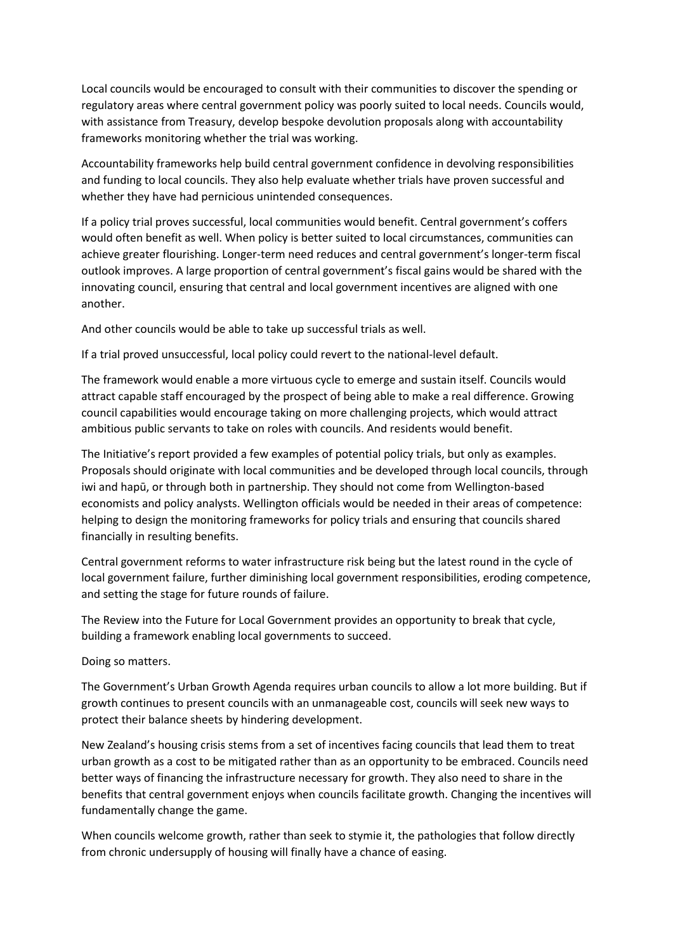Local councils would be encouraged to consult with their communities to discover the spending or regulatory areas where central government policy was poorly suited to local needs. Councils would, with assistance from Treasury, develop bespoke devolution proposals along with accountability frameworks monitoring whether the trial was working.

Accountability frameworks help build central government confidence in devolving responsibilities and funding to local councils. They also help evaluate whether trials have proven successful and whether they have had pernicious unintended consequences.

If a policy trial proves successful, local communities would benefit. Central government's coffers would often benefit as well. When policy is better suited to local circumstances, communities can achieve greater flourishing. Longer-term need reduces and central government's longer-term fiscal outlook improves. A large proportion of central government's fiscal gains would be shared with the innovating council, ensuring that central and local government incentives are aligned with one another.

And other councils would be able to take up successful trials as well.

If a trial proved unsuccessful, local policy could revert to the national-level default.

The framework would enable a more virtuous cycle to emerge and sustain itself. Councils would attract capable staff encouraged by the prospect of being able to make a real difference. Growing council capabilities would encourage taking on more challenging projects, which would attract ambitious public servants to take on roles with councils. And residents would benefit.

The Initiative's report provided a few examples of potential policy trials, but only as examples. Proposals should originate with local communities and be developed through local councils, through iwi and hapū, or through both in partnership. They should not come from Wellington-based economists and policy analysts. Wellington officials would be needed in their areas of competence: helping to design the monitoring frameworks for policy trials and ensuring that councils shared financially in resulting benefits.

Central government reforms to water infrastructure risk being but the latest round in the cycle of local government failure, further diminishing local government responsibilities, eroding competence, and setting the stage for future rounds of failure.

The Review into the Future for Local Government provides an opportunity to break that cycle, building a framework enabling local governments to succeed.

Doing so matters.

The Government's Urban Growth Agenda requires urban councils to allow a lot more building. But if growth continues to present councils with an unmanageable cost, councils will seek new ways to protect their balance sheets by hindering development.

New Zealand's housing crisis stems from a set of incentives facing councils that lead them to treat urban growth as a cost to be mitigated rather than as an opportunity to be embraced. Councils need better ways of financing the infrastructure necessary for growth. They also need to share in the benefits that central government enjoys when councils facilitate growth. Changing the incentives will fundamentally change the game.

When councils welcome growth, rather than seek to stymie it, the pathologies that follow directly from chronic undersupply of housing will finally have a chance of easing.